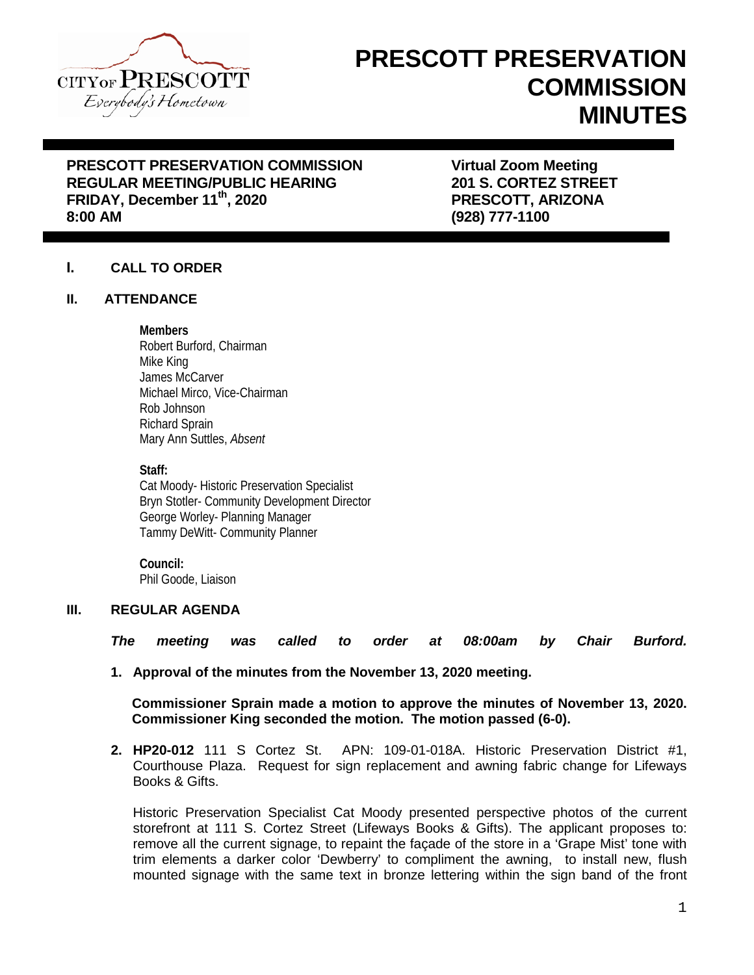

# **PRESCOTT PRESERVATION COMMISSION MINUTES**

## **PRESCOTT PRESERVATION COMMISSION FRESCOTT PRESERVATION COMMISSION FRAGULAR MEETING/PUBLIC HEARING FRAGULARY STATES STREET REGULAR MEETING/PUBLIC HEARING FRIDAY, December 11th, 2020 PRESCOTT, ARIZONA**

**8:00 AM (928) 777-1100**

### **I. CALL TO ORDER**

#### **II. ATTENDANCE**

#### **Members**

Robert Burford, Chairman Mike King James McCarver Michael Mirco, Vice-Chairman Rob Johnson Richard Sprain Mary Ann Suttles, *Absent*

#### **Staff:**

Cat Moody- Historic Preservation Specialist Bryn Stotler- Community Development Director George Worley- Planning Manager Tammy DeWitt- Community Planner

**Council:** Phil Goode, Liaison

#### **III. REGULAR AGENDA**

*The meeting was called to order at 08:00am by Chair Burford.*

**1. Approval of the minutes from the November 13, 2020 meeting.**

**Commissioner Sprain made a motion to approve the minutes of November 13, 2020. Commissioner King seconded the motion. The motion passed (6-0).**

**2. HP20-012** 111 S Cortez St. APN: 109-01-018A. Historic Preservation District #1, Courthouse Plaza. Request for sign replacement and awning fabric change for Lifeways Books & Gifts.

Historic Preservation Specialist Cat Moody presented perspective photos of the current storefront at 111 S. Cortez Street (Lifeways Books & Gifts). The applicant proposes to: remove all the current signage, to repaint the façade of the store in a 'Grape Mist' tone with trim elements a darker color 'Dewberry' to compliment the awning, to install new, flush mounted signage with the same text in bronze lettering within the sign band of the front